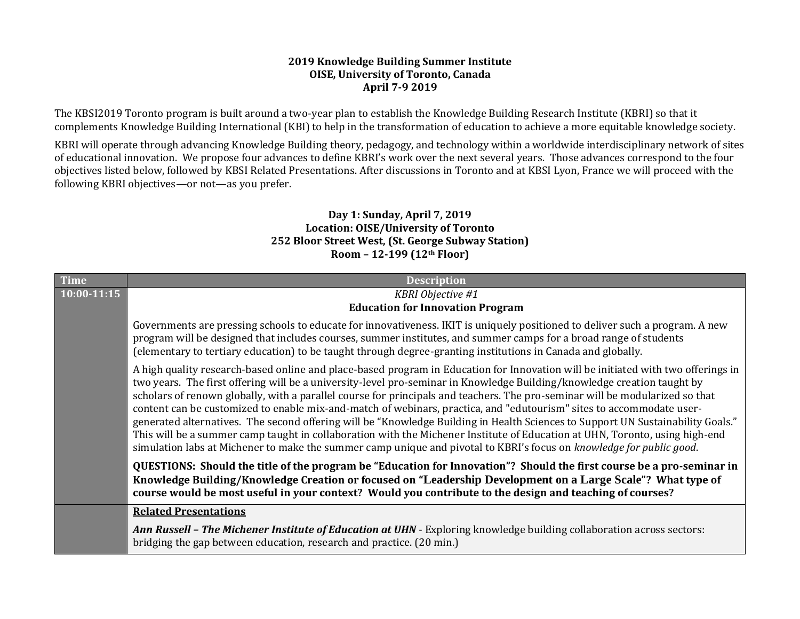## **2019 Knowledge Building Summer Institute OISE, University of Toronto, Canada April 7-9 2019**

The KBSI2019 Toronto program is built around a two-year plan to establish the Knowledge Building Research Institute (KBRI) so that it complements Knowledge Building International (KBI) to help in the transformation of education to achieve a more equitable knowledge society.

KBRI will operate through advancing Knowledge Building theory, pedagogy, and technology within a worldwide interdisciplinary network of sites of educational innovation. We propose four advances to define KBRI's work over the next several years. Those advances correspond to the four objectives listed below, followed by KBSI Related Presentations. After discussions in Toronto and at KBSI Lyon, France we will proceed with the following KBRI objectives—or not—as you prefer.

## **Day 1: Sunday, April 7, 2019 Location: OISE/University of Toronto 252 Bloor Street West, (St. George Subway Station) Room – 12-199 (12th Floor)**

| <b>Time</b> | <b>Description</b>                                                                                                                                                                                                                                                                                                                                                                                                                                                                                                                                                                                                                                                                                                                                                                                                                                                                                            |
|-------------|---------------------------------------------------------------------------------------------------------------------------------------------------------------------------------------------------------------------------------------------------------------------------------------------------------------------------------------------------------------------------------------------------------------------------------------------------------------------------------------------------------------------------------------------------------------------------------------------------------------------------------------------------------------------------------------------------------------------------------------------------------------------------------------------------------------------------------------------------------------------------------------------------------------|
| 10:00-11:15 | <b>KBRI</b> Objective #1                                                                                                                                                                                                                                                                                                                                                                                                                                                                                                                                                                                                                                                                                                                                                                                                                                                                                      |
|             | <b>Education for Innovation Program</b>                                                                                                                                                                                                                                                                                                                                                                                                                                                                                                                                                                                                                                                                                                                                                                                                                                                                       |
|             | Governments are pressing schools to educate for innovativeness. IKIT is uniquely positioned to deliver such a program. A new<br>program will be designed that includes courses, summer institutes, and summer camps for a broad range of students<br>(elementary to tertiary education) to be taught through degree-granting institutions in Canada and globally.                                                                                                                                                                                                                                                                                                                                                                                                                                                                                                                                             |
|             | A high quality research-based online and place-based program in Education for Innovation will be initiated with two offerings in<br>two years. The first offering will be a university-level pro-seminar in Knowledge Building/knowledge creation taught by<br>scholars of renown globally, with a parallel course for principals and teachers. The pro-seminar will be modularized so that<br>content can be customized to enable mix-and-match of webinars, practica, and "edutourism" sites to accommodate user-<br>generated alternatives. The second offering will be "Knowledge Building in Health Sciences to Support UN Sustainability Goals."<br>This will be a summer camp taught in collaboration with the Michener Institute of Education at UHN, Toronto, using high-end<br>simulation labs at Michener to make the summer camp unique and pivotal to KBRI's focus on knowledge for public good. |
|             | QUESTIONS: Should the title of the program be "Education for Innovation"? Should the first course be a pro-seminar in<br>Knowledge Building/Knowledge Creation or focused on "Leadership Development on a Large Scale"? What type of<br>course would be most useful in your context? Would you contribute to the design and teaching of courses?                                                                                                                                                                                                                                                                                                                                                                                                                                                                                                                                                              |
|             | <b>Related Presentations</b>                                                                                                                                                                                                                                                                                                                                                                                                                                                                                                                                                                                                                                                                                                                                                                                                                                                                                  |
|             | Ann Russell - The Michener Institute of Education at UHN - Exploring knowledge building collaboration across sectors:<br>bridging the gap between education, research and practice. (20 min.)                                                                                                                                                                                                                                                                                                                                                                                                                                                                                                                                                                                                                                                                                                                 |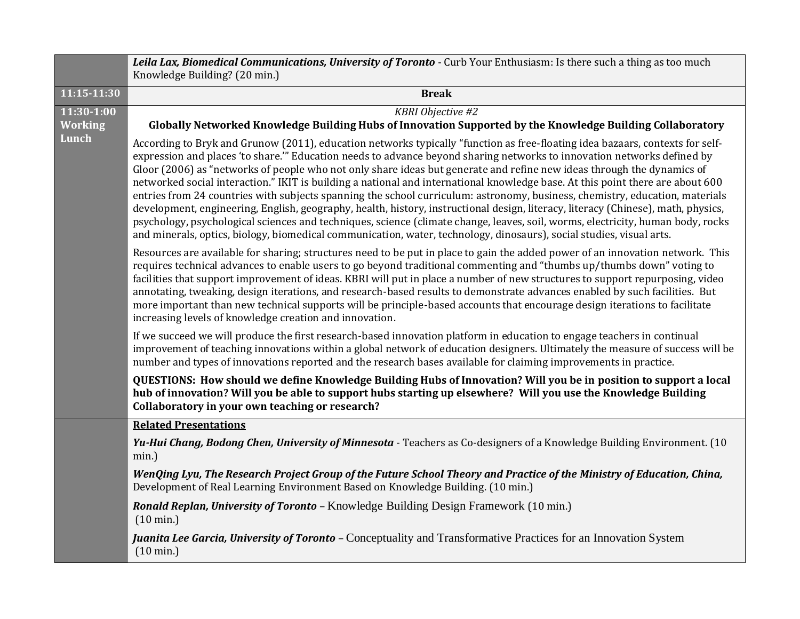|                                       | Leila Lax, Biomedical Communications, University of Toronto - Curb Your Enthusiasm: Is there such a thing as too much<br>Knowledge Building? (20 min.)                                                                                                                                                                                                                                                                                                                                                                                                                                                                                                                                                                                                                                                                                                                                                                                                                                                                                              |
|---------------------------------------|-----------------------------------------------------------------------------------------------------------------------------------------------------------------------------------------------------------------------------------------------------------------------------------------------------------------------------------------------------------------------------------------------------------------------------------------------------------------------------------------------------------------------------------------------------------------------------------------------------------------------------------------------------------------------------------------------------------------------------------------------------------------------------------------------------------------------------------------------------------------------------------------------------------------------------------------------------------------------------------------------------------------------------------------------------|
| 11:15-11:30                           | <b>Break</b>                                                                                                                                                                                                                                                                                                                                                                                                                                                                                                                                                                                                                                                                                                                                                                                                                                                                                                                                                                                                                                        |
| 11:30-1:00<br><b>Working</b><br>Lunch | <b>KBRI</b> Objective #2<br>Globally Networked Knowledge Building Hubs of Innovation Supported by the Knowledge Building Collaboratory                                                                                                                                                                                                                                                                                                                                                                                                                                                                                                                                                                                                                                                                                                                                                                                                                                                                                                              |
|                                       | According to Bryk and Grunow (2011), education networks typically "function as free-floating idea bazaars, contexts for self-<br>expression and places 'to share." Education needs to advance beyond sharing networks to innovation networks defined by<br>Gloor (2006) as "networks of people who not only share ideas but generate and refine new ideas through the dynamics of<br>networked social interaction." IKIT is building a national and international knowledge base. At this point there are about 600<br>entries from 24 countries with subjects spanning the school curriculum: astronomy, business, chemistry, education, materials<br>development, engineering, English, geography, health, history, instructional design, literacy, literacy (Chinese), math, physics,<br>psychology, psychological sciences and techniques, science (climate change, leaves, soil, worms, electricity, human body, rocks<br>and minerals, optics, biology, biomedical communication, water, technology, dinosaurs), social studies, visual arts. |
|                                       | Resources are available for sharing; structures need to be put in place to gain the added power of an innovation network. This<br>requires technical advances to enable users to go beyond traditional commenting and "thumbs up/thumbs down" voting to<br>facilities that support improvement of ideas. KBRI will put in place a number of new structures to support repurposing, video<br>annotating, tweaking, design iterations, and research-based results to demonstrate advances enabled by such facilities. But<br>more important than new technical supports will be principle-based accounts that encourage design iterations to facilitate<br>increasing levels of knowledge creation and innovation.                                                                                                                                                                                                                                                                                                                                    |
|                                       | If we succeed we will produce the first research-based innovation platform in education to engage teachers in continual<br>improvement of teaching innovations within a global network of education designers. Ultimately the measure of success will be<br>number and types of innovations reported and the research bases available for claiming improvements in practice.                                                                                                                                                                                                                                                                                                                                                                                                                                                                                                                                                                                                                                                                        |
|                                       | QUESTIONS: How should we define Knowledge Building Hubs of Innovation? Will you be in position to support a local<br>hub of innovation? Will you be able to support hubs starting up elsewhere? Will you use the Knowledge Building<br>Collaboratory in your own teaching or research?                                                                                                                                                                                                                                                                                                                                                                                                                                                                                                                                                                                                                                                                                                                                                              |
|                                       | <b>Related Presentations</b>                                                                                                                                                                                                                                                                                                                                                                                                                                                                                                                                                                                                                                                                                                                                                                                                                                                                                                                                                                                                                        |
|                                       | Yu-Hui Chang, Bodong Chen, University of Minnesota - Teachers as Co-designers of a Knowledge Building Environment. (10<br>min.)                                                                                                                                                                                                                                                                                                                                                                                                                                                                                                                                                                                                                                                                                                                                                                                                                                                                                                                     |
|                                       | WenQing Lyu, The Research Project Group of the Future School Theory and Practice of the Ministry of Education, China,<br>Development of Real Learning Environment Based on Knowledge Building. (10 min.)                                                                                                                                                                                                                                                                                                                                                                                                                                                                                                                                                                                                                                                                                                                                                                                                                                            |
|                                       | Ronald Replan, University of Toronto - Knowledge Building Design Framework (10 min.)<br>$(10 \text{ min.})$                                                                                                                                                                                                                                                                                                                                                                                                                                                                                                                                                                                                                                                                                                                                                                                                                                                                                                                                         |
|                                       | Juanita Lee Garcia, University of Toronto - Conceptuality and Transformative Practices for an Innovation System<br>$(10 \text{ min.})$                                                                                                                                                                                                                                                                                                                                                                                                                                                                                                                                                                                                                                                                                                                                                                                                                                                                                                              |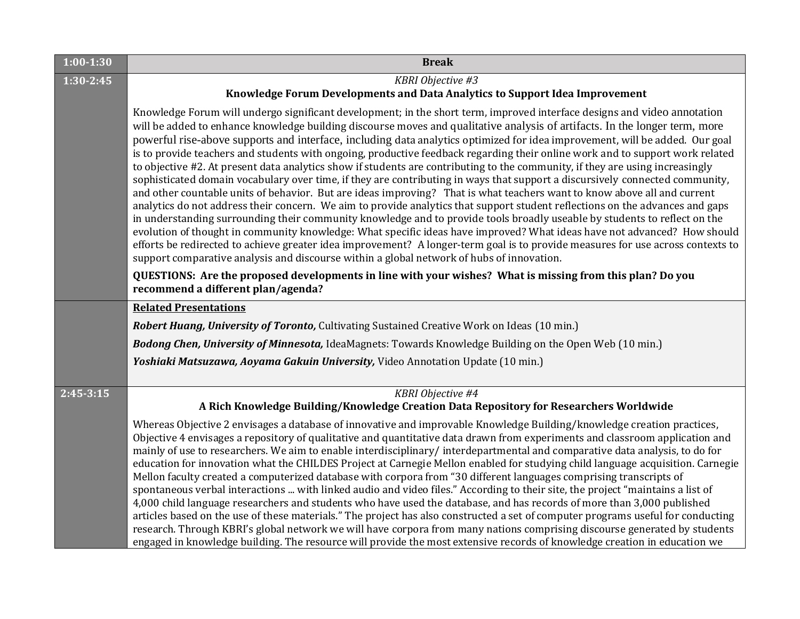| $1:00-1:30$   | <b>Break</b>                                                                                                                                                                                                                                                                                                                                                                                                                                                                                                                                                                                                                                                                                                                                                                                                                                                                                                                                                                                                                                                                                                                                                                                                                                                                                                                                                                                                                                                                                                                                    |  |  |  |
|---------------|-------------------------------------------------------------------------------------------------------------------------------------------------------------------------------------------------------------------------------------------------------------------------------------------------------------------------------------------------------------------------------------------------------------------------------------------------------------------------------------------------------------------------------------------------------------------------------------------------------------------------------------------------------------------------------------------------------------------------------------------------------------------------------------------------------------------------------------------------------------------------------------------------------------------------------------------------------------------------------------------------------------------------------------------------------------------------------------------------------------------------------------------------------------------------------------------------------------------------------------------------------------------------------------------------------------------------------------------------------------------------------------------------------------------------------------------------------------------------------------------------------------------------------------------------|--|--|--|
| $1:30 - 2:45$ | KBRI Objective #3                                                                                                                                                                                                                                                                                                                                                                                                                                                                                                                                                                                                                                                                                                                                                                                                                                                                                                                                                                                                                                                                                                                                                                                                                                                                                                                                                                                                                                                                                                                               |  |  |  |
|               | Knowledge Forum Developments and Data Analytics to Support Idea Improvement                                                                                                                                                                                                                                                                                                                                                                                                                                                                                                                                                                                                                                                                                                                                                                                                                                                                                                                                                                                                                                                                                                                                                                                                                                                                                                                                                                                                                                                                     |  |  |  |
|               | Knowledge Forum will undergo significant development; in the short term, improved interface designs and video annotation<br>will be added to enhance knowledge building discourse moves and qualitative analysis of artifacts. In the longer term, more<br>powerful rise-above supports and interface, including data analytics optimized for idea improvement, will be added. Our goal<br>is to provide teachers and students with ongoing, productive feedback regarding their online work and to support work related<br>to objective #2. At present data analytics show if students are contributing to the community, if they are using increasingly<br>sophisticated domain vocabulary over time, if they are contributing in ways that support a discursively connected community,<br>and other countable units of behavior. But are ideas improving? That is what teachers want to know above all and current<br>analytics do not address their concern. We aim to provide analytics that support student reflections on the advances and gaps<br>in understanding surrounding their community knowledge and to provide tools broadly useable by students to reflect on the<br>evolution of thought in community knowledge: What specific ideas have improved? What ideas have not advanced? How should<br>efforts be redirected to achieve greater idea improvement? A longer-term goal is to provide measures for use across contexts to<br>support comparative analysis and discourse within a global network of hubs of innovation. |  |  |  |
|               | QUESTIONS: Are the proposed developments in line with your wishes? What is missing from this plan? Do you<br>recommend a different plan/agenda?                                                                                                                                                                                                                                                                                                                                                                                                                                                                                                                                                                                                                                                                                                                                                                                                                                                                                                                                                                                                                                                                                                                                                                                                                                                                                                                                                                                                 |  |  |  |
|               | <b>Related Presentations</b>                                                                                                                                                                                                                                                                                                                                                                                                                                                                                                                                                                                                                                                                                                                                                                                                                                                                                                                                                                                                                                                                                                                                                                                                                                                                                                                                                                                                                                                                                                                    |  |  |  |
|               | <b>Robert Huang, University of Toronto, Cultivating Sustained Creative Work on Ideas (10 min.)</b>                                                                                                                                                                                                                                                                                                                                                                                                                                                                                                                                                                                                                                                                                                                                                                                                                                                                                                                                                                                                                                                                                                                                                                                                                                                                                                                                                                                                                                              |  |  |  |
|               | <b>Bodong Chen, University of Minnesota, IdeaMagnets: Towards Knowledge Building on the Open Web (10 min.)</b>                                                                                                                                                                                                                                                                                                                                                                                                                                                                                                                                                                                                                                                                                                                                                                                                                                                                                                                                                                                                                                                                                                                                                                                                                                                                                                                                                                                                                                  |  |  |  |
|               | Yoshiaki Matsuzawa, Aoyama Gakuin University, Video Annotation Update (10 min.)                                                                                                                                                                                                                                                                                                                                                                                                                                                                                                                                                                                                                                                                                                                                                                                                                                                                                                                                                                                                                                                                                                                                                                                                                                                                                                                                                                                                                                                                 |  |  |  |
| $2:45-3:15$   | <b>KBRI</b> Objective #4<br>A Rich Knowledge Building/Knowledge Creation Data Repository for Researchers Worldwide                                                                                                                                                                                                                                                                                                                                                                                                                                                                                                                                                                                                                                                                                                                                                                                                                                                                                                                                                                                                                                                                                                                                                                                                                                                                                                                                                                                                                              |  |  |  |
|               | Whereas Objective 2 envisages a database of innovative and improvable Knowledge Building/knowledge creation practices,<br>Objective 4 envisages a repository of qualitative and quantitative data drawn from experiments and classroom application and<br>mainly of use to researchers. We aim to enable interdisciplinary/interdepartmental and comparative data analysis, to do for<br>education for innovation what the CHILDES Project at Carnegie Mellon enabled for studying child language acquisition. Carnegie<br>Mellon faculty created a computerized database with corpora from "30 different languages comprising transcripts of<br>spontaneous verbal interactions  with linked audio and video files." According to their site, the project "maintains a list of<br>4,000 child language researchers and students who have used the database, and has records of more than 3,000 published<br>articles based on the use of these materials." The project has also constructed a set of computer programs useful for conducting<br>research. Through KBRI's global network we will have corpora from many nations comprising discourse generated by students<br>engaged in knowledge building. The resource will provide the most extensive records of knowledge creation in education we                                                                                                                                                                                                                                         |  |  |  |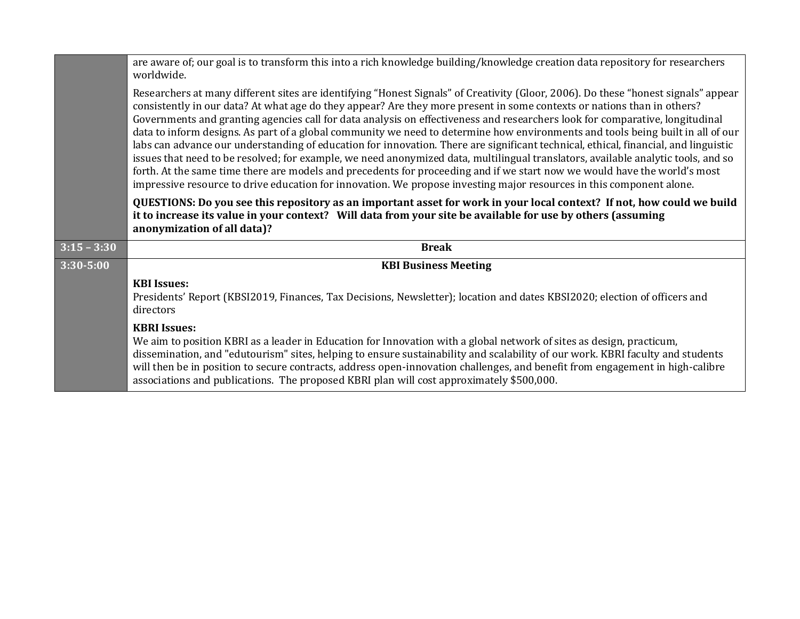|               | are aware of; our goal is to transform this into a rich knowledge building/knowledge creation data repository for researchers<br>worldwide.                                                                                                                                                                                                                                                                                                                                                                                                                                                                                                                                                                                                                                                                                                                                                                                                                                                                                                                       |
|---------------|-------------------------------------------------------------------------------------------------------------------------------------------------------------------------------------------------------------------------------------------------------------------------------------------------------------------------------------------------------------------------------------------------------------------------------------------------------------------------------------------------------------------------------------------------------------------------------------------------------------------------------------------------------------------------------------------------------------------------------------------------------------------------------------------------------------------------------------------------------------------------------------------------------------------------------------------------------------------------------------------------------------------------------------------------------------------|
|               | Researchers at many different sites are identifying "Honest Signals" of Creativity (Gloor, 2006). Do these "honest signals" appear<br>consistently in our data? At what age do they appear? Are they more present in some contexts or nations than in others?<br>Governments and granting agencies call for data analysis on effectiveness and researchers look for comparative, longitudinal<br>data to inform designs. As part of a global community we need to determine how environments and tools being built in all of our<br>labs can advance our understanding of education for innovation. There are significant technical, ethical, financial, and linguistic<br>issues that need to be resolved; for example, we need anonymized data, multilingual translators, available analytic tools, and so<br>forth. At the same time there are models and precedents for proceeding and if we start now we would have the world's most<br>impressive resource to drive education for innovation. We propose investing major resources in this component alone. |
|               | QUESTIONS: Do you see this repository as an important asset for work in your local context? If not, how could we build<br>it to increase its value in your context? Will data from your site be available for use by others (assuming<br>anonymization of all data)?                                                                                                                                                                                                                                                                                                                                                                                                                                                                                                                                                                                                                                                                                                                                                                                              |
| $3:15 - 3:30$ | <b>Break</b>                                                                                                                                                                                                                                                                                                                                                                                                                                                                                                                                                                                                                                                                                                                                                                                                                                                                                                                                                                                                                                                      |
| $3:30 - 5:00$ | <b>KBI Business Meeting</b>                                                                                                                                                                                                                                                                                                                                                                                                                                                                                                                                                                                                                                                                                                                                                                                                                                                                                                                                                                                                                                       |
|               | <b>KBI</b> Issues:<br>Presidents' Report (KBSI2019, Finances, Tax Decisions, Newsletter); location and dates KBSI2020; election of officers and<br>directors                                                                                                                                                                                                                                                                                                                                                                                                                                                                                                                                                                                                                                                                                                                                                                                                                                                                                                      |
|               | <b>KBRI Issues:</b><br>We aim to position KBRI as a leader in Education for Innovation with a global network of sites as design, practicum,<br>dissemination, and "edutourism" sites, helping to ensure sustainability and scalability of our work. KBRI faculty and students                                                                                                                                                                                                                                                                                                                                                                                                                                                                                                                                                                                                                                                                                                                                                                                     |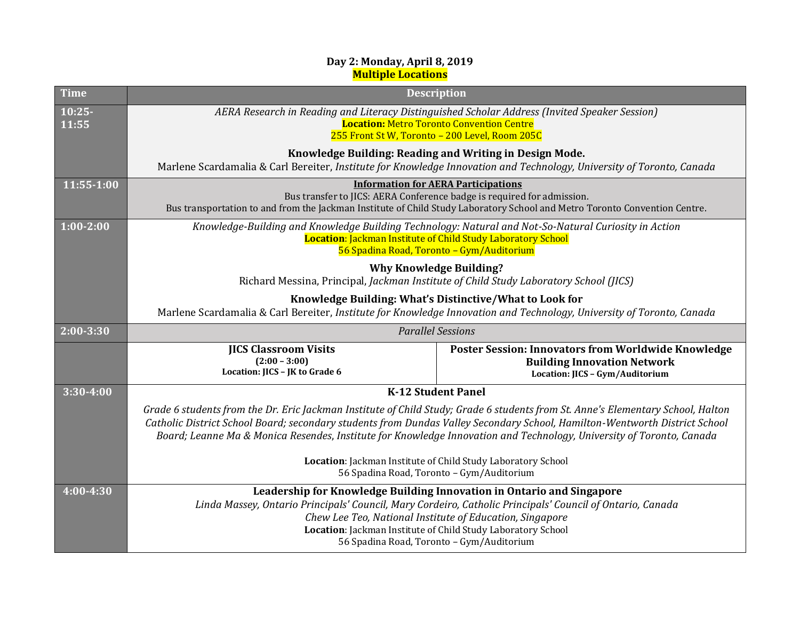## **Day 2: Monday, April 8, 2019 Multiple Locations**

| <b>Time</b>       | <b>Description</b>                                                                                                                                                                                                                                                                                                                                                                    |                                                                                                                                     |
|-------------------|---------------------------------------------------------------------------------------------------------------------------------------------------------------------------------------------------------------------------------------------------------------------------------------------------------------------------------------------------------------------------------------|-------------------------------------------------------------------------------------------------------------------------------------|
| $10:25-$<br>11:55 | AERA Research in Reading and Literacy Distinguished Scholar Address (Invited Speaker Session)<br><b>Location: Metro Toronto Convention Centre</b><br>255 Front St W, Toronto - 200 Level, Room 205C                                                                                                                                                                                   |                                                                                                                                     |
|                   | Knowledge Building: Reading and Writing in Design Mode.<br>Marlene Scardamalia & Carl Bereiter, Institute for Knowledge Innovation and Technology, University of Toronto, Canada                                                                                                                                                                                                      |                                                                                                                                     |
| 11:55-1:00        | <b>Information for AERA Participations</b><br>Bus transfer to JICS: AERA Conference badge is required for admission.<br>Bus transportation to and from the Jackman Institute of Child Study Laboratory School and Metro Toronto Convention Centre.                                                                                                                                    |                                                                                                                                     |
| $1:00 - 2:00$     | Knowledge-Building and Knowledge Building Technology: Natural and Not-So-Natural Curiosity in Action<br>Location: Jackman Institute of Child Study Laboratory School<br>56 Spadina Road, Toronto - Gym/Auditorium                                                                                                                                                                     |                                                                                                                                     |
|                   | <b>Why Knowledge Building?</b><br>Richard Messina, Principal, Jackman Institute of Child Study Laboratory School (JICS)                                                                                                                                                                                                                                                               |                                                                                                                                     |
|                   | Knowledge Building: What's Distinctive/What to Look for<br>Marlene Scardamalia & Carl Bereiter, Institute for Knowledge Innovation and Technology, University of Toronto, Canada                                                                                                                                                                                                      |                                                                                                                                     |
| $2:00 - 3:30$     | <b>Parallel Sessions</b>                                                                                                                                                                                                                                                                                                                                                              |                                                                                                                                     |
|                   | <b>IICS Classroom Visits</b><br>$(2:00 - 3:00)$<br>Location: JICS - JK to Grade 6                                                                                                                                                                                                                                                                                                     | <b>Poster Session: Innovators from Worldwide Knowledge</b><br><b>Building Innovation Network</b><br>Location: JICS - Gym/Auditorium |
| $3:30 - 4:00$     | <b>K-12 Student Panel</b>                                                                                                                                                                                                                                                                                                                                                             |                                                                                                                                     |
|                   | Grade 6 students from the Dr. Eric Jackman Institute of Child Study; Grade 6 students from St. Anne's Elementary School, Halton<br>Catholic District School Board; secondary students from Dundas Valley Secondary School, Hamilton-Wentworth District School<br>Board; Leanne Ma & Monica Resendes, Institute for Knowledge Innovation and Technology, University of Toronto, Canada |                                                                                                                                     |
|                   | Location: Jackman Institute of Child Study Laboratory School<br>56 Spadina Road, Toronto - Gym/Auditorium                                                                                                                                                                                                                                                                             |                                                                                                                                     |
| $4:00 - 4:30$     | Linda Massey, Ontario Principals' Council, Mary Cordeiro, Catholic Principals' Council of Ontario, Canada<br>Chew Lee Teo, National Institute of Education, Singapore<br>Location: Jackman Institute of Child Study Laboratory School<br>56 Spadina Road, Toronto - Gym/Auditorium                                                                                                    | Leadership for Knowledge Building Innovation in Ontario and Singapore                                                               |